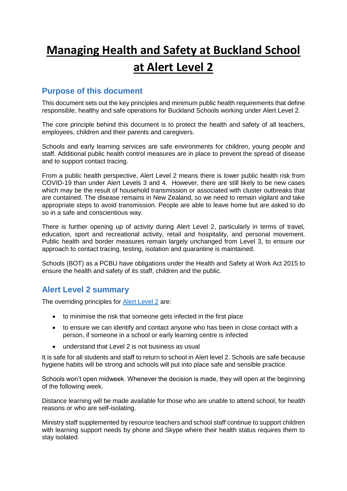# **Managing Health and Safety at Buckland School at Alert Level 2**

#### **Purpose of this document**

This document sets out the key principles and minimum public health requirements that define responsible, healthy and safe operations for Buckland Schools working under Alert Level 2.

The core principle behind this document is to protect the health and safety of all teachers, employees, children and their parents and caregivers.

Schools and early learning services are safe environments for children, young people and staff. Additional public health control measures are in place to prevent the spread of disease and to support contact tracing.

From a public health perspective, Alert Level 2 means there is lower public health risk from COVID-19 than under Alert Levels 3 and 4. However, there are still likely to be new cases which may be the result of household transmission or associated with cluster outbreaks that are contained. The disease remains in New Zealand, so we need to remain vigilant and take appropriate steps to avoid transmission. People are able to leave home but are asked to do so in a safe and conscientious way.

There is further opening up of activity during Alert Level 2, particularly in terms of travel, education, sport and recreational activity, retail and hospitality, and personal movement. Public health and border measures remain largely unchanged from Level 3, to ensure our approach to contact tracing, testing, isolation and quarantine is maintained.

Schools (BOT) as a PCBU have obligations under the Health and Safety at Work Act 2015 to ensure the health and safety of its staff, children and the public.

### **Alert Level 2 summary**

The overriding principles for **Alert Level 2** are:

- to minimise the risk that someone gets infected in the first place
- to ensure we can identify and contact anyone who has been in close contact with a person, if someone in a school or early learning centre is infected
- understand that Level 2 is not business as usual

It is safe for all students and staff to return to school in Alert level 2. Schools are safe because hygiene habits will be strong and schools will put into place safe and sensible practice.

Schools won't open midweek. Whenever the decision is made, they will open at the beginning of the following week.

Distance learning will be made available for those who are unable to attend school, for health reasons or who are self-isolating.

Ministry staff supplemented by resource teachers and school staff continue to support children with learning support needs by phone and Skype where their health status requires them to stay isolated.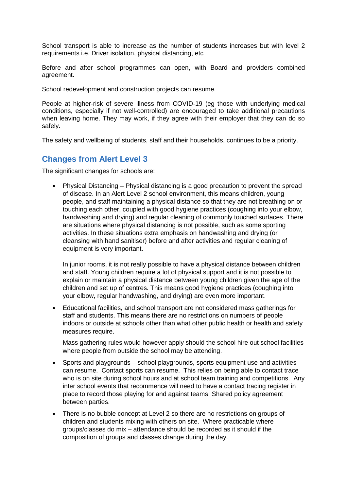School transport is able to increase as the number of students increases but with level 2 requirements i.e. Driver isolation, physical distancing, etc

Before and after school programmes can open, with Board and providers combined agreement.

School redevelopment and construction projects can resume.

People at higher-risk of severe illness from COVID-19 (eg those with underlying medical conditions, especially if not well-controlled) are encouraged to take additional precautions when leaving home. They may work, if they agree with their employer that they can do so safely.

The safety and wellbeing of students, staff and their households, continues to be a priority.

#### **Changes from Alert Level 3**

The significant changes for schools are:

• Physical Distancing – Physical distancing is a good precaution to prevent the spread of disease. In an Alert Level 2 school environment, this means children, young people, and staff maintaining a physical distance so that they are not breathing on or touching each other, coupled with good hygiene practices (coughing into your elbow, handwashing and drying) and regular cleaning of commonly touched surfaces. There are situations where physical distancing is not possible, such as some sporting activities. In these situations extra emphasis on handwashing and drying (or cleansing with hand sanitiser) before and after activities and regular cleaning of equipment is very important.

In junior rooms, it is not really possible to have a physical distance between children and staff. Young children require a lot of physical support and it is not possible to explain or maintain a physical distance between young children given the age of the children and set up of centres. This means good hygiene practices (coughing into your elbow, regular handwashing, and drying) are even more important.

• Educational facilities, and school transport are not considered mass gatherings for staff and students. This means there are no restrictions on numbers of people indoors or outside at schools other than what other public health or health and safety measures require.

Mass gathering rules would however apply should the school hire out school facilities where people from outside the school may be attending.

- Sports and playgrounds school playgrounds, sports equipment use and activities can resume. Contact sports can resume. This relies on being able to contact trace who is on site during school hours and at school team training and competitions. Any inter school events that recommence will need to have a contact tracing register in place to record those playing for and against teams. Shared policy agreement between parties.
- There is no bubble concept at Level 2 so there are no restrictions on groups of children and students mixing with others on site. Where practicable where groups/classes do mix – attendance should be recorded as it should if the composition of groups and classes change during the day.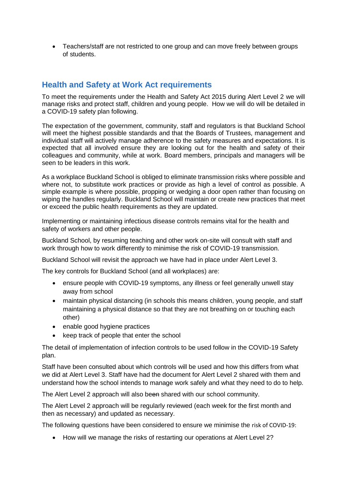• Teachers/staff are not restricted to one group and can move freely between groups of students.

## **Health and Safety at Work Act requirements**

To meet the requirements under the Health and Safety Act 2015 during Alert Level 2 we will manage risks and protect staff, children and young people. How we will do will be detailed in a COVID-19 safety plan following.

The expectation of the government, community, staff and regulators is that Buckland School will meet the highest possible standards and that the Boards of Trustees, management and individual staff will actively manage adherence to the safety measures and expectations. It is expected that all involved ensure they are looking out for the health and safety of their colleagues and community, while at work. Board members, principals and managers will be seen to be leaders in this work.

As a workplace Buckland School is obliged to eliminate transmission risks where possible and where not, to substitute work practices or provide as high a level of control as possible. A simple example is where possible, propping or wedging a door open rather than focusing on wiping the handles regularly. Buckland School will maintain or create new practices that meet or exceed the public health requirements as they are updated.

Implementing or maintaining infectious disease controls remains vital for the health and safety of workers and other people.

Buckland School, by resuming teaching and other work on-site will consult with staff and work through how to work differently to minimise the risk of COVID-19 transmission.

Buckland School will revisit the approach we have had in place under Alert Level 3.

The key controls for Buckland School (and all workplaces) are:

- ensure people with COVID-19 symptoms, any illness or feel generally unwell stay away from school
- maintain physical distancing (in schools this means children, young people, and staff maintaining a physical distance so that they are not breathing on or touching each other)
- enable good hygiene practices
- keep track of people that enter the school

The detail of implementation of infection controls to be used follow in the COVID-19 Safety plan.

Staff have been consulted about which controls will be used and how this differs from what we did at Alert Level 3. Staff have had the document for Alert Level 2 shared with them and understand how the school intends to manage work safely and what they need to do to help.

The Alert Level 2 approach will also been shared with our school community.

The Alert Level 2 approach will be regularly reviewed (each week for the first month and then as necessary) and updated as necessary.

The following questions have been considered to ensure we minimise the risk of COVID-19:

• How will we manage the risks of restarting our operations at Alert Level 2?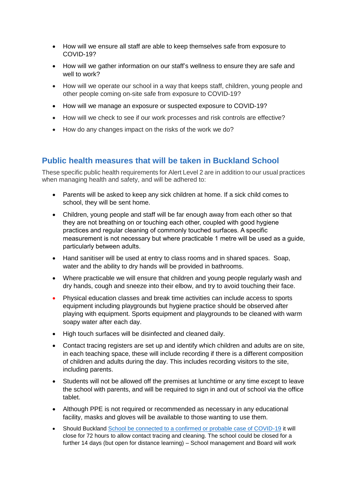- How will we ensure all staff are able to keep themselves safe from exposure to COVID-19?
- How will we gather information on our staff's wellness to ensure they are safe and well to work?
- How will we operate our school in a way that keeps staff, children, young people and other people coming on-site safe from exposure to COVID-19?
- How will we manage an exposure or suspected exposure to COVID-19?
- How will we check to see if our work processes and risk controls are effective?
- How do any changes impact on the risks of the work we do?

# **Public health measures that will be taken in Buckland School**

These specific public health requirements for Alert Level 2 are in addition to our usual practices when managing health and safety, and will be adhered to:

- Parents will be asked to keep any sick children at home. If a sick child comes to school, they will be sent home.
- Children, young people and staff will be far enough away from each other so that they are not breathing on or touching each other, coupled with good hygiene practices and regular cleaning of commonly touched surfaces. A specific measurement is not necessary but where practicable 1 metre will be used as a guide, particularly between adults.
- Hand sanitiser will be used at entry to class rooms and in shared spaces. Soap, water and the ability to dry hands will be provided in bathrooms.
- Where practicable we will ensure that children and young people regularly wash and dry hands, cough and sneeze into their elbow, and try to avoid touching their face.
- Physical education classes and break time activities can include access to sports equipment including playgrounds but hygiene practice should be observed after playing with equipment. Sports equipment and playgrounds to be cleaned with warm soapy water after each day.
- High touch surfaces will be disinfected and cleaned daily.
- Contact tracing registers are set up and identify which children and adults are on site, in each teaching space, these will include recording if there is a different composition of children and adults during the day. This includes recording visitors to the site, including parents.
- Students will not be allowed off the premises at lunchtime or any time except to leave the school with parents, and will be required to sign in and out of school via the office tablet.
- Although PPE is not required or recommended as necessary in any educational facility, masks and gloves will be available to those wanting to use them.
- Should Buckland [School be connected to a confirmed or probable case of COVID-19](http://education.govt.nz/assets/Documents/COVID19-files/If-you-have-a-probable-or-confirmed-case.docx) it will close for 72 hours to allow contact tracing and cleaning. The school could be closed for a further 14 days (but open for distance learning) – School management and Board will work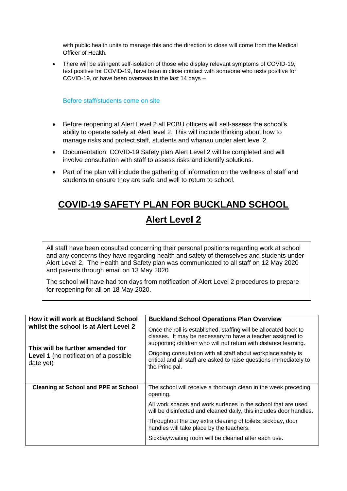with public health units to manage this and the direction to close will come from the Medical Officer of Health.

• There will be stringent self-isolation of those who display relevant symptoms of COVID-19, test positive for COVID-19, have been in close contact with someone who tests positive for COVID-19, or have been overseas in the last 14 days –

Before staff/students come on site

- Before reopening at Alert Level 2 all PCBU officers will self-assess the school's ability to operate safely at Alert level 2. This will include thinking about how to manage risks and protect staff, students and whanau under alert level 2.
- Documentation: COVID-19 Safety plan Alert Level 2 will be completed and will involve consultation with staff to assess risks and identify solutions.
- Part of the plan will include the gathering of information on the wellness of staff and students to ensure they are safe and well to return to school.

# **COVID-19 SAFETY PLAN FOR BUCKLAND SCHOOL Alert Level 2**

All staff have been consulted concerning their personal positions regarding work at school and any concerns they have regarding health and safety of themselves and students under Alert Level 2. The Health and Safety plan was communicated to all staff on 12 May 2020 and parents through email on 13 May 2020.

The school will have had ten days from notification of Alert Level 2 procedures to prepare for reopening for all on 18 May 2020.

| How it will work at Buckland School<br>whilst the school is at Alert Level 2                   | <b>Buckland School Operations Plan Overview</b>                                                                                                                                                   |
|------------------------------------------------------------------------------------------------|---------------------------------------------------------------------------------------------------------------------------------------------------------------------------------------------------|
|                                                                                                | Once the roll is established, staffing will be allocated back to<br>classes. It may be necessary to have a teacher assigned to<br>supporting children who will not return with distance learning. |
| This will be further amended for<br><b>Level 1</b> (no notification of a possible<br>date yet) | Ongoing consultation with all staff about workplace safety is<br>critical and all staff are asked to raise questions immediately to<br>the Principal.                                             |
|                                                                                                |                                                                                                                                                                                                   |
| <b>Cleaning at School and PPE at School</b>                                                    | The school will receive a thorough clean in the week preceding<br>opening.                                                                                                                        |
|                                                                                                | All work spaces and work surfaces in the school that are used<br>will be disinfected and cleaned daily, this includes door handles.                                                               |
|                                                                                                | Throughout the day extra cleaning of toilets, sickbay, door<br>handles will take place by the teachers.                                                                                           |
|                                                                                                | Sickbay/waiting room will be cleaned after each use.                                                                                                                                              |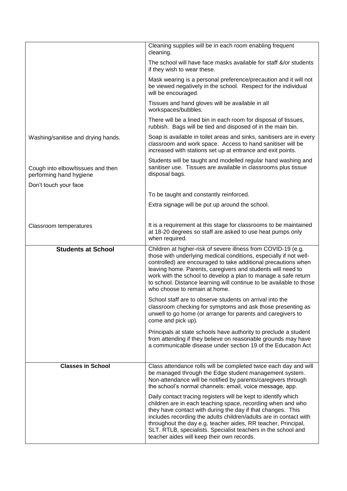|                                                              | Cleaning supplies will be in each room enabling frequent<br>cleaning.                                                                                                                                                                                                                                                                                                                                                                             |
|--------------------------------------------------------------|---------------------------------------------------------------------------------------------------------------------------------------------------------------------------------------------------------------------------------------------------------------------------------------------------------------------------------------------------------------------------------------------------------------------------------------------------|
|                                                              | The school will have face masks available for staff &/or students<br>if they wish to wear these.                                                                                                                                                                                                                                                                                                                                                  |
|                                                              | Mask wearing is a personal preference/precaution and it will not<br>be viewed negatively in the school. Respect for the individual<br>will be encouraged.                                                                                                                                                                                                                                                                                         |
|                                                              | Tissues and hand gloves will be available in all<br>workspaces/bubbles.                                                                                                                                                                                                                                                                                                                                                                           |
|                                                              | There will be a lined bin in each room for disposal of tissues,<br>rubbish. Bags will be tied and disposed of in the main bin.                                                                                                                                                                                                                                                                                                                    |
| Washing/sanitise and drying hands.                           | Soap is available in toilet areas and sinks, sanitisers are in every<br>classroom and work space. Access to hand sanitiser will be<br>increased with stations set up at entrance and exit points.                                                                                                                                                                                                                                                 |
| Cough into elbow/tissues and then<br>performing hand hygiene | Students will be taught and modelled regular hand washing and<br>sanitiser use. Tissues are available in classrooms plus tissue<br>disposal bags.                                                                                                                                                                                                                                                                                                 |
| Don't touch your face                                        |                                                                                                                                                                                                                                                                                                                                                                                                                                                   |
|                                                              | To be taught and constantly reinforced.                                                                                                                                                                                                                                                                                                                                                                                                           |
|                                                              | Extra signage will be put up around the school.                                                                                                                                                                                                                                                                                                                                                                                                   |
|                                                              |                                                                                                                                                                                                                                                                                                                                                                                                                                                   |
| Classroom temperatures                                       | It is a requirement at this stage for classrooms to be maintained<br>at 18-20 degrees so staff are asked to use heat pumps only<br>when required.                                                                                                                                                                                                                                                                                                 |
| <b>Students at School</b>                                    | Children at higher-risk of severe illness from COVID-19 (e.g.<br>those with underlying medical conditions, especially if not well-<br>controlled) are encouraged to take additional precautions when<br>leaving home. Parents, caregivers and students will need to<br>work with the school to develop a plan to manage a safe return<br>to school. Distance learning will continue to be available to those<br>who choose to remain at home.     |
|                                                              | School staff are to observe students on arrival into the<br>classroom checking for symptoms and ask those presenting as<br>unwell to go home (or arrange for parents and caregivers to<br>come and pick up).                                                                                                                                                                                                                                      |
|                                                              | Principals at state schools have authority to preclude a student<br>from attending if they believe on reasonable grounds may have<br>a communicable disease under section 19 of the Education Act                                                                                                                                                                                                                                                 |
| <b>Classes in School</b>                                     | Class attendance rolls will be completed twice each day and will<br>be managed through the Edge student management system.<br>Non-attendance will be notified by parents/caregivers through<br>the school's normal channels: email, voice message, app.                                                                                                                                                                                           |
|                                                              | Daily contact tracing registers will be kept to identify which<br>children are in each teaching space, recording when and who<br>they have contact with during the day if that changes. This<br>includes recording the adults children/adults are in contact with<br>throughout the day e.g. teacher aides, RR teacher, Principal,<br>SLT. RTLB, specialists. Specialist teachers in the school and<br>teacher aides will keep their own records. |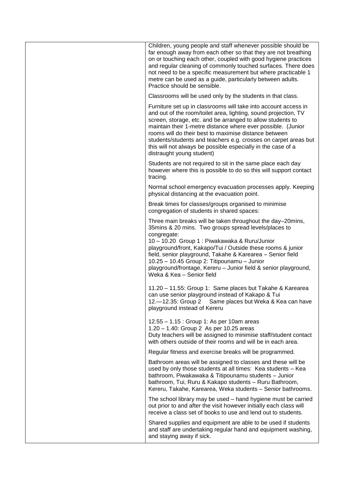| Children, young people and staff whenever possible should be<br>far enough away from each other so that they are not breathing<br>on or touching each other, coupled with good hygiene practices<br>and regular cleaning of commonly touched surfaces. There does<br>not need to be a specific measurement but where practicable 1<br>metre can be used as a guide, particularly between adults.<br>Practice should be sensible.                                                          |
|-------------------------------------------------------------------------------------------------------------------------------------------------------------------------------------------------------------------------------------------------------------------------------------------------------------------------------------------------------------------------------------------------------------------------------------------------------------------------------------------|
| Classrooms will be used only by the students in that class.                                                                                                                                                                                                                                                                                                                                                                                                                               |
| Furniture set up in classrooms will take into account access in<br>and out of the room/toilet area, lighting, sound projection, TV<br>screen, storage, etc. and be arranged to allow students to<br>maintain their 1-metre distance where ever possible. (Junior<br>rooms will do their best to maximise distance between<br>students/students and teachers e.g. crosses on carpet areas but<br>this will not always be possible especially in the case of a<br>distraught young student) |
| Students are not required to sit in the same place each day<br>however where this is possible to do so this will support contact<br>tracing.                                                                                                                                                                                                                                                                                                                                              |
| Normal school emergency evacuation processes apply. Keeping<br>physical distancing at the evacuation point.                                                                                                                                                                                                                                                                                                                                                                               |
| Break times for classes/groups organised to minimise<br>congregation of students in shared spaces:                                                                                                                                                                                                                                                                                                                                                                                        |
| Three main breaks will be taken throughout the day-20mins,<br>35 mins & 20 mins. Two groups spread levels/places to<br>congregate:<br>10 - 10.20 Group 1 : Piwakawaka & Ruru/Junior<br>playground/front, Kakapo/Tui / Outside these rooms & junior<br>field, senior playground, Takahe & Karearea - Senior field<br>10.25 - 10.45 Group 2: Titipounamu - Junior<br>playground/frontage, Kereru - Junior field & senior playground,<br>Weka & Kea - Senior field                           |
| 11.20 - 11.55: Group 1: Same places but Takahe & Karearea<br>can use senior playground instead of Kakapo & Tui<br>12.-12.35: Group 2 Same places but Weka & Kea can have<br>playground instead of Kereru                                                                                                                                                                                                                                                                                  |
| 12.55 - 1.15 : Group 1: As per 10am areas<br>1.20 - 1.40: Group 2 As per 10.25 areas<br>Duty teachers will be assigned to minimise staff/student contact<br>with others outside of their rooms and will be in each area.                                                                                                                                                                                                                                                                  |
| Regular fitness and exercise breaks will be programmed.                                                                                                                                                                                                                                                                                                                                                                                                                                   |
| Bathroom areas will be assigned to classes and these will be<br>used by only those students at all times: Kea students - Kea<br>bathroom, Piwakawaka & Titipounamu students - Junior<br>bathroom, Tui, Ruru & Kakapo students - Ruru Bathroom,<br>Kereru, Takahe, Karearea, Weka students - Senior bathrooms.                                                                                                                                                                             |
| The school library may be used - hand hygiene must be carried<br>out prior to and after the visit however initially each class will<br>receive a class set of books to use and lend out to students.                                                                                                                                                                                                                                                                                      |
| Shared supplies and equipment are able to be used if students<br>and staff are undertaking regular hand and equipment washing,<br>and staying away if sick.                                                                                                                                                                                                                                                                                                                               |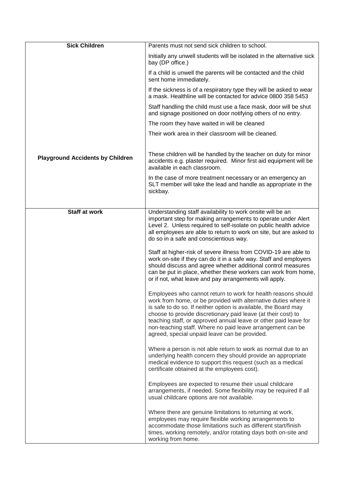| <b>Sick Children</b>                    | Parents must not send sick children to school.                                                                                                                                                                                                                                                                                                                                                                                                          |
|-----------------------------------------|---------------------------------------------------------------------------------------------------------------------------------------------------------------------------------------------------------------------------------------------------------------------------------------------------------------------------------------------------------------------------------------------------------------------------------------------------------|
|                                         | Initially any unwell students will be isolated in the alternative sick<br>bay (DP office.)                                                                                                                                                                                                                                                                                                                                                              |
|                                         | If a child is unwell the parents will be contacted and the child<br>sent home immediately.                                                                                                                                                                                                                                                                                                                                                              |
|                                         | If the sickness is of a respiratory type they will be asked to wear<br>a mask. Healthline will be contacted for advice 0800 358 5453                                                                                                                                                                                                                                                                                                                    |
|                                         | Staff handling the child must use a face mask, door will be shut<br>and signage positioned on door notifying others of no entry.                                                                                                                                                                                                                                                                                                                        |
|                                         | The room they have waited in will be cleaned                                                                                                                                                                                                                                                                                                                                                                                                            |
|                                         | Their work area in their classroom will be cleaned.                                                                                                                                                                                                                                                                                                                                                                                                     |
|                                         |                                                                                                                                                                                                                                                                                                                                                                                                                                                         |
| <b>Playground Accidents by Children</b> | These children will be handled by the teacher on duty for minor<br>accidents e.g. plaster required. Minor first aid equipment will be<br>available in each classroom.                                                                                                                                                                                                                                                                                   |
|                                         | In the case of more treatment necessary or an emergency an<br>SLT member will take the lead and handle as appropriate in the<br>sickbay.                                                                                                                                                                                                                                                                                                                |
|                                         |                                                                                                                                                                                                                                                                                                                                                                                                                                                         |
| <b>Staff at work</b>                    | Understanding staff availability to work onsite will be an<br>important step for making arrangements to operate under Alert<br>Level 2. Unless required to self-isolate on public health advice<br>all employees are able to return to work on site, but are asked to<br>do so in a safe and conscientious way.                                                                                                                                         |
|                                         | Staff at higher-risk of severe illness from COVID-19 are able to<br>work on-site if they can do it in a safe way. Staff and employers<br>should discuss and agree whether additional control measures<br>can be put in place, whether these workers can work from home,<br>or if not, what leave and pay arrangements will apply.                                                                                                                       |
|                                         | Employees who cannot return to work for health reasons should<br>work from home, or be provided with alternative duties where it<br>is safe to do so. If neither option is available, the Board may<br>choose to provide discretionary paid leave (at their cost) to<br>teaching staff, or approved annual leave or other paid leave for<br>non-teaching staff. Where no paid leave arrangement can be<br>agreed, special unpaid leave can be provided. |
|                                         | Where a person is not able return to work as normal due to an<br>underlying health concern they should provide an appropriate<br>medical evidence to support this request (such as a medical<br>certificate obtained at the employees cost).                                                                                                                                                                                                            |
|                                         | Employees are expected to resume their usual childcare<br>arrangements, if needed. Some flexibility may be required if all<br>usual childcare options are not available.                                                                                                                                                                                                                                                                                |
|                                         | Where there are genuine limitations to returning at work,<br>employees may require flexible working arrangements to<br>accommodate those limitations such as different start/finish<br>times, working remotely, and/or rotating days both on-site and<br>working from home.                                                                                                                                                                             |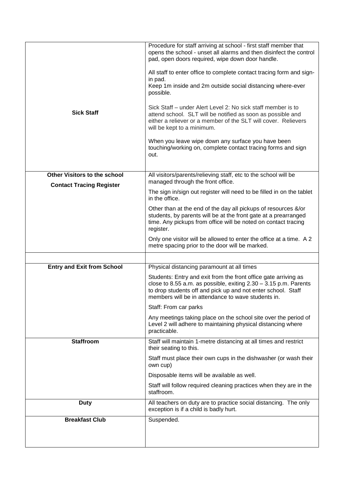|                                   | Procedure for staff arriving at school - first staff member that<br>opens the school - unset all alarms and then disinfect the control<br>pad, open doors required, wipe down door handle.<br>All staff to enter office to complete contact tracing form and sign-<br>in pad.<br>Keep 1m inside and 2m outside social distancing where-ever<br>possible.<br>Sick Staff – under Alert Level 2: No sick staff member is to |
|-----------------------------------|--------------------------------------------------------------------------------------------------------------------------------------------------------------------------------------------------------------------------------------------------------------------------------------------------------------------------------------------------------------------------------------------------------------------------|
| <b>Sick Staff</b>                 | attend school. SLT will be notified as soon as possible and<br>either a reliever or a member of the SLT will cover. Relievers<br>will be kept to a minimum.                                                                                                                                                                                                                                                              |
|                                   | When you leave wipe down any surface you have been<br>touching/working on, complete contact tracing forms and sign<br>out.                                                                                                                                                                                                                                                                                               |
| Other Visitors to the school      | All visitors/parents/relieving staff, etc to the school will be<br>managed through the front office.                                                                                                                                                                                                                                                                                                                     |
| <b>Contact Tracing Register</b>   | The sign in/sign out register will need to be filled in on the tablet<br>in the office.                                                                                                                                                                                                                                                                                                                                  |
|                                   | Other than at the end of the day all pickups of resources &/or<br>students, by parents will be at the front gate at a prearranged<br>time. Any pickups from office will be noted on contact tracing<br>register.                                                                                                                                                                                                         |
|                                   | Only one visitor will be allowed to enter the office at a time. A 2<br>metre spacing prior to the door will be marked.                                                                                                                                                                                                                                                                                                   |
|                                   |                                                                                                                                                                                                                                                                                                                                                                                                                          |
| <b>Entry and Exit from School</b> | Physical distancing paramount at all times                                                                                                                                                                                                                                                                                                                                                                               |
|                                   | Students: Entry and exit from the front office gate arriving as<br>close to 8.55 a.m. as possible, exiting $2.30 - 3.15$ p.m. Parents<br>to drop students off and pick up and not enter school. Staff<br>members will be in attendance to wave students in.                                                                                                                                                              |
|                                   | Staff: From car parks                                                                                                                                                                                                                                                                                                                                                                                                    |
|                                   | Any meetings taking place on the school site over the period of<br>Level 2 will adhere to maintaining physical distancing where<br>practicable.                                                                                                                                                                                                                                                                          |
| <b>Staffroom</b>                  | Staff will maintain 1-metre distancing at all times and restrict<br>their seating to this.                                                                                                                                                                                                                                                                                                                               |
|                                   | Staff must place their own cups in the dishwasher (or wash their<br>own cup)                                                                                                                                                                                                                                                                                                                                             |
|                                   | Disposable items will be available as well.                                                                                                                                                                                                                                                                                                                                                                              |
|                                   | Staff will follow required cleaning practices when they are in the<br>staffroom.                                                                                                                                                                                                                                                                                                                                         |
| <b>Duty</b>                       | All teachers on duty are to practice social distancing. The only<br>exception is if a child is badly hurt.                                                                                                                                                                                                                                                                                                               |
| <b>Breakfast Club</b>             | Suspended.                                                                                                                                                                                                                                                                                                                                                                                                               |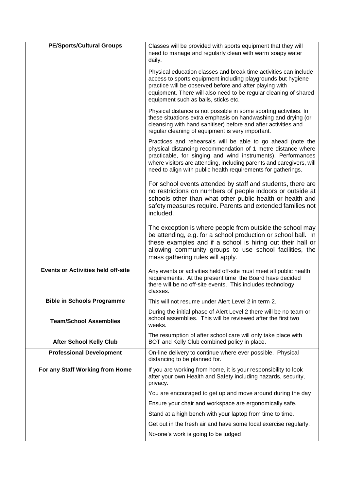| <b>PE/Sports/Cultural Groups</b>          | Classes will be provided with sports equipment that they will<br>need to manage and regularly clean with warm soapy water<br>daily.                                                                                                                                                                                                  |
|-------------------------------------------|--------------------------------------------------------------------------------------------------------------------------------------------------------------------------------------------------------------------------------------------------------------------------------------------------------------------------------------|
|                                           | Physical education classes and break time activities can include<br>access to sports equipment including playgrounds but hygiene<br>practice will be observed before and after playing with<br>equipment. There will also need to be regular cleaning of shared<br>equipment such as balls, sticks etc.                              |
|                                           | Physical distance is not possible in some sporting activities. In<br>these situations extra emphasis on handwashing and drying (or<br>cleansing with hand sanitiser) before and after activities and<br>regular cleaning of equipment is very important.                                                                             |
|                                           | Practices and rehearsals will be able to go ahead (note the<br>physical distancing recommendation of 1 metre distance where<br>practicable, for singing and wind instruments). Performances<br>where visitors are attending, including parents and caregivers, will<br>need to align with public health requirements for gatherings. |
|                                           | For school events attended by staff and students, there are<br>no restrictions on numbers of people indoors or outside at<br>schools other than what other public health or health and<br>safety measures require. Parents and extended families not<br>included.                                                                    |
|                                           | The exception is where people from outside the school may<br>be attending, e.g. for a school production or school ball. In<br>these examples and if a school is hiring out their hall or<br>allowing community groups to use school facilities, the<br>mass gathering rules will apply.                                              |
| <b>Events or Activities held off-site</b> | Any events or activities held off-site must meet all public health<br>requirements. At the present time the Board have decided<br>there will be no off-site events. This includes technology<br>classes.                                                                                                                             |
| <b>Bible in Schools Programme</b>         | This will not resume under Alert Level 2 in term 2.                                                                                                                                                                                                                                                                                  |
| <b>Team/School Assemblies</b>             | During the initial phase of Alert Level 2 there will be no team or<br>school assemblies. This will be reviewed after the first two<br>weeks.                                                                                                                                                                                         |
| <b>After School Kelly Club</b>            | The resumption of after school care will only take place with<br>BOT and Kelly Club combined policy in place.                                                                                                                                                                                                                        |
| <b>Professional Development</b>           | On-line delivery to continue where ever possible. Physical<br>distancing to be planned for.                                                                                                                                                                                                                                          |
| For any Staff Working from Home           | If you are working from home, it is your responsibility to look<br>after your own Health and Safety including hazards, security,<br>privacy.                                                                                                                                                                                         |
|                                           | You are encouraged to get up and move around during the day                                                                                                                                                                                                                                                                          |
|                                           | Ensure your chair and workspace are ergonomically safe.                                                                                                                                                                                                                                                                              |
|                                           | Stand at a high bench with your laptop from time to time.                                                                                                                                                                                                                                                                            |
|                                           | Get out in the fresh air and have some local exercise regularly.                                                                                                                                                                                                                                                                     |
|                                           | No-one's work is going to be judged                                                                                                                                                                                                                                                                                                  |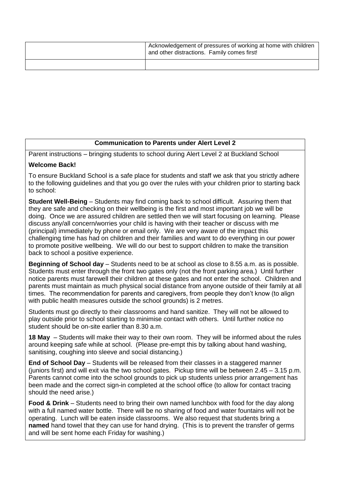| Acknowledgement of pressures of working at home with children<br>and other distractions. Family comes first! |
|--------------------------------------------------------------------------------------------------------------|
|                                                                                                              |

#### **Communication to Parents under Alert Level 2**

Parent instructions – bringing students to school during Alert Level 2 at Buckland School

#### **Welcome Back!**

To ensure Buckland School is a safe place for students and staff we ask that you strictly adhere to the following guidelines and that you go over the rules with your children prior to starting back to school:

**Student Well-Being** – Students may find coming back to school difficult. Assuring them that they are safe and checking on their wellbeing is the first and most important job we will be doing. Once we are assured children are settled then we will start focusing on learning. Please discuss any/all concern/worries your child is having with their teacher or discuss with me (principal) immediately by phone or email only. We are very aware of the impact this challenging time has had on children and their families and want to do everything in our power to promote positive wellbeing. We will do our best to support children to make the transition back to school a positive experience.

**Beginning of School day** – Students need to be at school as close to 8.55 a.m. as is possible. Students must enter through the front two gates only (not the front parking area.) Until further notice parents must farewell their children at these gates and not enter the school. Children and parents must maintain as much physical social distance from anyone outside of their family at all times. The recommendation for parents and caregivers, from people they don't know (to align with public health measures outside the school grounds) is 2 metres.

Students must go directly to their classrooms and hand sanitize. They will not be allowed to play outside prior to school starting to minimise contact with others. Until further notice no student should be on-site earlier than 8.30 a.m.

**18 May** – Students will make their way to their own room. They will be informed about the rules around keeping safe while at school. (Please pre-empt this by talking about hand washing, sanitising, coughing into sleeve and social distancing.)

**End of School Day** – Students will be released from their classes in a staggered manner (juniors first) and will exit via the two school gates. Pickup time will be between 2.45 – 3.15 p.m. Parents cannot come into the school grounds to pick up students unless prior arrangement has been made and the correct sign-in completed at the school office (to allow for contact tracing should the need arise.)

**Food & Drink** – Students need to bring their own named lunchbox with food for the day along with a full named water bottle. There will be no sharing of food and water fountains will not be operating. Lunch will be eaten inside classrooms. We also request that students bring a **named** hand towel that they can use for hand drying. (This is to prevent the transfer of germs and will be sent home each Friday for washing.)